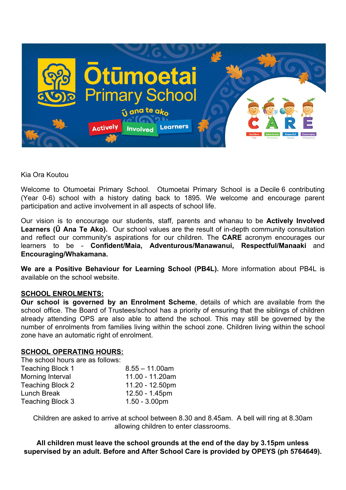

Kia Ora Koutou

Welcome to Otumoetai Primary School. Otumoetai Primary School is a Decile 6 contributing (Year 0-6) school with a history dating back to 1895. We welcome and encourage parent participation and active involvement in all aspects of school life.

Our vision is to encourage our students, staff, parents and whanau to be **Actively Involved Learners (Ū Ana Te Ako).** Our school values are the result of in-depth community consultation and reflect our community's aspirations for our children. The **CARE** acronym encourages our learners to be - **Confident/Maia, Adventurous/Manawanui, Respectful/Manaaki** and **Encouraging/Whakamana.**

**We are a Positive Behaviour for Learning School (PB4L).** More information about PB4L is available on the school website.

#### **SCHOOL ENROLMENTS:**

**Our school is governed by an Enrolment Scheme**, details of which are available from the school office. The Board of Trustees/school has a priority of ensuring that the siblings of children already attending OPS are also able to attend the school. This may still be governed by the number of enrolments from families living within the school zone. Children living within the school zone have an automatic right of enrolment.

#### **SCHOOL OPERATING HOURS:**

The school hours are as follows: Teaching Block 1  $8.55 - 11.00$ am Morning Interval 11.00 - 11.20am Teaching Block 2 11.20 - 12.50pm Lunch Break 12.50 - 1.45pm Teaching Block 3 1.50 - 3.00pm

Children are asked to arrive at school between 8.30 and 8.45am. A bell will ring at 8.30am allowing children to enter classrooms.

**All children must leave the school grounds at the end of the day by 3.15pm unless supervised by an adult. Before and After School Care is provided by OPEYS (ph 5764649).**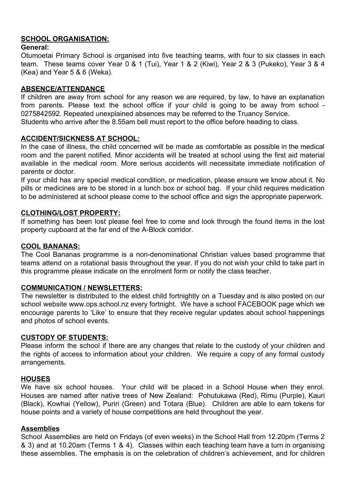# **SCHOOL ORGANISATION:**

## **General:**

Otumoetai Primary School is organised into five teaching teams, with four to six classes in each team. These teams cover Year 0 & 1 (Tui), Year 1 & 2 (Kiwi), Year 2 & 3 (Pukeko), Year 3 & 4 (Kea) and Year 5 & 6 (Weka).

# **ABSENCE/ATTENDANCE**

If children are away from school for any reason we are required, by law, to have an explanation from parents. Please text the school office if your child is going to be away from school - 0275842592. Repeated unexplained absences may be referred to the Truancy Service. Students who arrive after the 8.55am bell must report to the office before heading to class.

# **ACCIDENT/SICKNESS AT SCHOOL:**

In the case of illness, the child concerned will be made as comfortable as possible in the medical room and the parent notified. Minor accidents will be treated at school using the first aid material available in the medical room. More serious accidents will necessitate immediate notification of parents or doctor.

If your child has any special medical condition, or medication, please ensure we know about it. No pills or medicines are to be stored in a lunch box or school bag. If your child requires medication to be administered at school please come to the school office and sign the appropriate paperwork.

## **CLOTHING/LOST PROPERTY:**

If something has been lost please feel free to come and look through the found items in the lost property cupboard at the far end of the A-Block corridor.

#### **COOL BANANAS:**

The Cool Bananas programme is a non-denominational Christian values based programme that teams attend on a rotational basis throughout the year. If you do not wish your child to take part in this programme please indicate on the enrolment form or notify the class teacher.

#### **COMMUNICATION / NEWSLETTERS:**

The newsletter is distributed to the eldest child fortnightly on a Tuesday and is also posted on our school website [www.ops.school.nz](http://www.ops.school.nz/) every fortnight. We have a school FACEBOOK page which we encourage parents to 'Like' to ensure that they receive regular updates about school happenings and photos of school events.

#### **CUSTODY OF STUDENTS:**

Please inform the school if there are any changes that relate to the custody of your children and the rights of access to information about your children. We require a copy of any formal custody arrangements.

#### **HOUSES**

We have six school houses. Your child will be placed in a School House when they enrol. Houses are named after native trees of New Zealand: Pohutukawa (Red), Rimu (Purple), Kauri (Black), Kowhai (Yellow), Puriri (Green) and Totara (Blue). Children are able to earn tokens for house points and a variety of house competitions are held throughout the year.

# **Assemblies**

School Assemblies are held on Fridays (of even weeks) in the School Hall from 12.20pm (Terms 2 & 3) and at 10.20am (Terms 1 & 4). Classes within each teaching team have a turn in organising these assemblies. The emphasis is on the celebration of children's achievement, and for children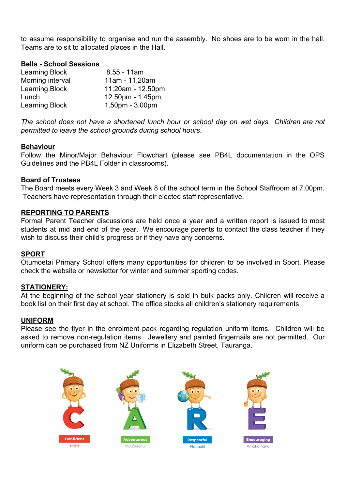to assume responsibility to organise and run the assembly. No shoes are to be worn in the hall. Teams are to sit to allocated places in the Hall.

## **Bells - School Sessions**

| <b>Learning Block</b> | $8.55 - 11am$     |
|-----------------------|-------------------|
| Morning interval      | 11am - 11.20am    |
| <b>Learning Block</b> | 11:20am - 12.50pm |
| Lunch                 | 12.50pm - 1.45pm  |
| <b>Learning Block</b> | 1.50pm - 3.00pm   |

*The school does not have a shortened lunch hour or school day on wet days. Children are not permitted to leave the school grounds during school hours*.

#### **Behaviour**

Follow the Minor/Major Behaviour Flowchart (please see PB4L documentation in the OPS Guidelines and the PB4L Folder in classrooms).

#### **Board of Trustees**

The Board meets every Week 3 and Week 8 of the school term in the School Staffroom at 7.00pm. Teachers have representation through their elected staff representative.

#### **REPORTING TO PARENTS**

Formal Parent Teacher discussions are held once a year and a written report is issued to most students at mid and end of the year. We encourage parents to contact the class teacher if they wish to discuss their child's progress or if they have any concerns.

#### **SPORT**

Otumoetai Primary School offers many opportunities for children to be involved in Sport. Please check the website or newsletter for winter and summer sporting codes.

#### **STATIONERY:**

At the beginning of the school year stationery is sold in bulk packs only. Children will receive a book list on their first day at school. The office stocks all children's stationery requirements

#### **UNIFORM**

Please see the flyer in the enrolment pack regarding regulation uniform items. Children will be asked to remove non-regulation items. Jewellery and painted fingernails are not permitted. Our uniform can be purchased from NZ Uniforms in Elizabeth Street, Tauranga.